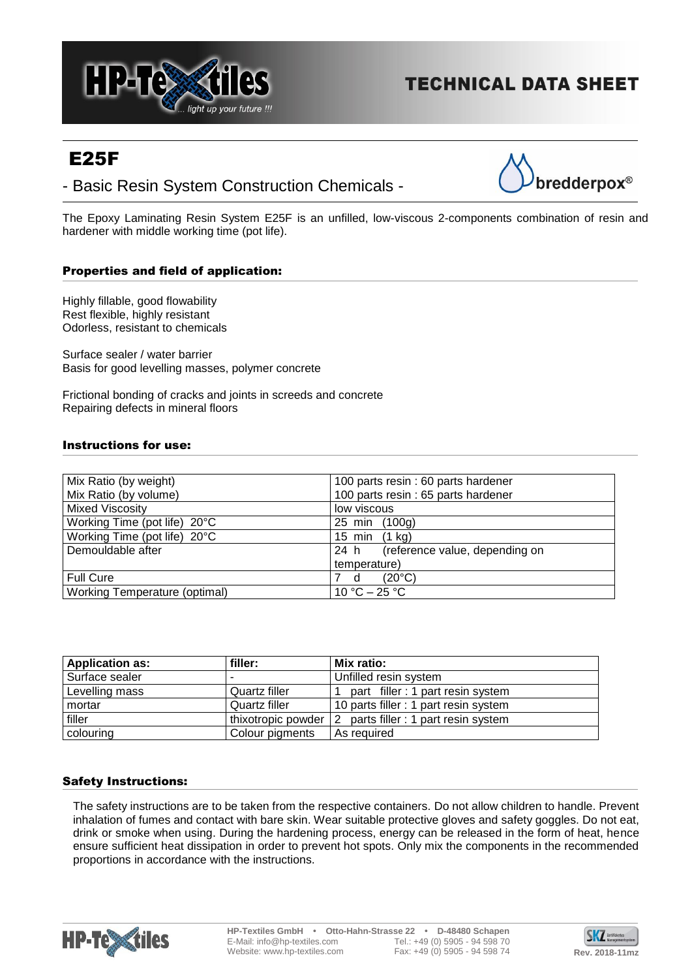

# **TECHNICAL DATA SHEET**

# E25F

# - Basic Resin System Construction Chemicals -



The Epoxy Laminating Resin System E25F is an unfilled, low-viscous 2-components combination of resin and hardener with middle working time (pot life).

# Properties and field of application:

Highly fillable, good flowability Rest flexible, highly resistant Odorless, resistant to chemicals

Surface sealer / water barrier Basis for good levelling masses, polymer concrete

Frictional bonding of cracks and joints in screeds and concrete Repairing defects in mineral floors

## Instructions for use:

| Mix Ratio (by weight)                | 100 parts resin : 60 parts hardener    |
|--------------------------------------|----------------------------------------|
| Mix Ratio (by volume)                | 100 parts resin : 65 parts hardener    |
| <b>Mixed Viscosity</b>               | low viscous                            |
| Working Time (pot life) 20°C         | (100q)<br>$25$ min                     |
| Working Time (pot life) 20°C         | 15 min (1 kg)                          |
| Demouldable after                    | (reference value, depending on<br>24 h |
|                                      | temperature)                           |
| <b>Full Cure</b>                     | $(20^{\circ}C)$<br>d                   |
| <b>Working Temperature (optimal)</b> | 10 °C – 25 °C                          |

| <b>Application as:</b> | filler:            | Mix ratio:                            |
|------------------------|--------------------|---------------------------------------|
| Surface sealer         |                    | Unfilled resin system                 |
| Levelling mass         | Quartz filler      | part filler: 1 part resin system      |
| mortar                 | Quartz filler      | 10 parts filler : 1 part resin system |
| filler                 | thixotropic powder | 2 parts filler : 1 part resin system  |
| colouring              | Colour pigments    | As required                           |

## Safety Instructions:

The safety instructions are to be taken from the respective containers. Do not allow children to handle. Prevent inhalation of fumes and contact with bare skin. Wear suitable protective gloves and safety goggles. Do not eat, drink or smoke when using. During the hardening process, energy can be released in the form of heat, hence ensure sufficient heat dissipation in order to prevent hot spots. Only mix the components in the recommended proportions in accordance with the instructions.